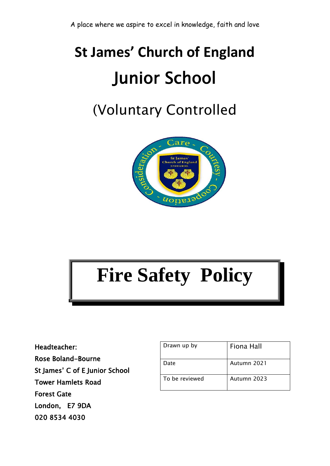## **St James' Church of England** Junior School

### (Voluntary Controlled



# **Fire Safety Policy**

Headteacher: Rose Boland-Bourne St James' C of E Junior School Tower Hamlets Road Forest Gate London, E7 9DA 020 8534 4030

| Drawn up by    | Fiona Hall  |
|----------------|-------------|
| Date           | Autumn 2021 |
| To be reviewed | Autumn 2023 |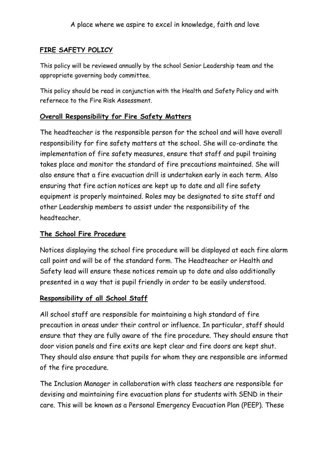#### **FIRE SAFETY POLICY**

This policy will be reviewed annually by the school Senior Leadership team and the appropriate governing body committee.

This policy should be read in conjunction with the Health and Safety Policy and with refernece to the Fire Risk Assessment.

#### **Overall Responsibility for Fire Safety Matters**

The headteacher is the responsible person for the school and will have overall responsibility for fire safety matters at the school. She will co-ordinate the implementation of fire safety measures, ensure that staff and pupil training takes place and monitor the standard of fire precautions maintained. She will also ensure that a fire evacuation drill is undertaken early in each term. Also ensuring that fire action notices are kept up to date and all fire safety equipment is properly maintained. Roles may be designated to site staff and other Leadership members to assist under the responsibility of the headteacher.

#### **The School Fire Procedure**

Notices displaying the school fire procedure will be displayed at each fire alarm call point and will be of the standard form. The Headteacher or Health and Safety lead will ensure these notices remain up to date and also additionally presented in a way that is pupil friendly in order to be easily understood.

#### **Responsibility of all School Staff**

All school staff are responsible for maintaining a high standard of fire precaution in areas under their control or influence. In particular, staff should ensure that they are fully aware of the fire procedure. They should ensure that door vision panels and fire exits are kept clear and fire doors are kept shut. They should also ensure that pupils for whom they are responsible are informed of the fire procedure.

The Inclusion Manager in collaboration with class teachers are responsible for devising and maintaining fire evacuation plans for students with SEND in their care. This will be known as a Personal Emergency Evacuation Plan (PEEP). These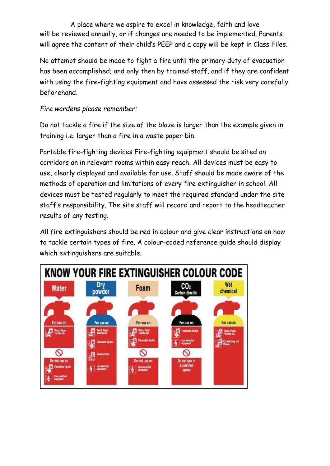A place where we aspire to excel in knowledge, faith and love will be reviewed annually, or if changes are needed to be implemented. Parents will agree the content of their child's PEEP and a copy will be kept in Class Files.

No attempt should be made to fight a fire until the primary duty of evacuation has been accomplished; and only then by trained staff, and if they are confident with using the fire-fighting equipment and have assessed the risk very carefully beforehand.

#### *Fire wardens please remember:*

Do not tackle a fire if the size of the blaze is larger than the example given in training i.e. larger than a fire in a waste paper bin.

Portable fire-fighting devices Fire-fighting equipment should be sited on corridors an in relevant rooms within easy reach. All devices must be easy to use, clearly displayed and available for use. Staff should be made aware of the methods of operation and limitations of every fire extinguisher in school. All devices must be tested regularly to meet the required standard under the site staff's responsibility. The site staff will record and report to the headteacher results of any testing.

All fire extinguishers should be red in colour and give clear instructions on how to tackle certain types of fire. A colour-coded reference guide should display which extinguishers are suitable.

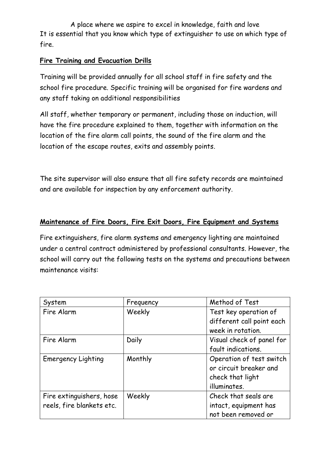A place where we aspire to excel in knowledge, faith and love It is essential that you know which type of extinguisher to use on which type of fire.

#### **Fire Training and Evacuation Drills**

Training will be provided annually for all school staff in fire safety and the school fire procedure. Specific training will be organised for fire wardens and any staff taking on additional responsibilities

All staff, whether temporary or permanent, including those on induction, will have the fire procedure explained to them, together with information on the location of the fire alarm call points, the sound of the fire alarm and the location of the escape routes, exits and assembly points.

The site supervisor will also ensure that all fire safety records are maintained and are available for inspection by any enforcement authority.

#### **Maintenance of Fire Doors, Fire Exit Doors, Fire Equipment and Systems**

Fire extinguishers, fire alarm systems and emergency lighting are maintained under a central contract administered by professional consultants. However, the school will carry out the following tests on the systems and precautions between maintenance visits:

| System                    | Frequency | Method of Test            |
|---------------------------|-----------|---------------------------|
| Fire Alarm                | Weekly    | Test key operation of     |
|                           |           | different call point each |
|                           |           | week in rotation.         |
| Fire Alarm                | Daily     | Visual check of panel for |
|                           |           | fault indications.        |
| <b>Emergency Lighting</b> | Monthly   | Operation of test switch  |
|                           |           | or circuit breaker and    |
|                           |           | check that light          |
|                           |           | illuminates.              |
| Fire extinguishers, hose  | Weekly    | Check that seals are      |
| reels, fire blankets etc. |           | intact, equipment has     |
|                           |           | not been removed or       |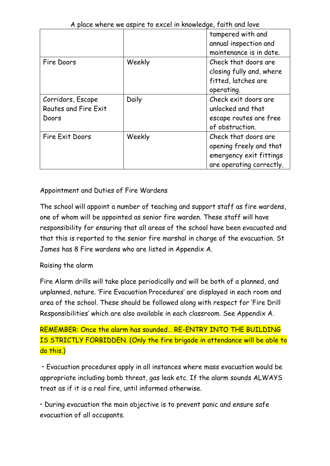| A place where we aspire to excel in knowledge, faith and love |        |                          |  |  |
|---------------------------------------------------------------|--------|--------------------------|--|--|
|                                                               |        | tampered with and        |  |  |
|                                                               |        | annual inspection and    |  |  |
|                                                               |        | maintenance is in date.  |  |  |
| Fire Doors                                                    | Weekly | Check that doors are     |  |  |
|                                                               |        | closing fully and, where |  |  |
|                                                               |        | fitted, latches are      |  |  |
|                                                               |        | operating.               |  |  |
| Corridors, Escape                                             | Daily  | Check exit doors are     |  |  |
| Routes and Fire Exit                                          |        | unlocked and that        |  |  |
| Doors                                                         |        | escape routes are free   |  |  |
|                                                               |        | of obstruction.          |  |  |
| Fire Exit Doors                                               | Weekly | Check that doors are     |  |  |
|                                                               |        | opening freely and that  |  |  |
|                                                               |        | emergency exit fittings  |  |  |
|                                                               |        | are operating correctly. |  |  |

#### $A = \frac{1}{2}$  and love as pire to excel in the control in knowledge, faith and love and love and love and love and love and love and love and love and love and love and love and love and love and love and love and love and

#### Appointment and Duties of Fire Wardens

The school will appoint a number of teaching and support staff as fire wardens, one of whom will be appointed as senior fire warden. These staff will have responsibility for ensuring that all areas of the school have been evacuated and that this is reported to the senior fire marshal in charge of the evacuation. St James has 8 Fire wardens who are listed in Appendix A.

#### Raising the alarm

Fire Alarm drills will take place periodically and will be both of a planned, and unplanned, nature. 'Fire Evacuation Procedures' are displayed in each room and area of the school. These should be followed along with respect for 'Fire Drill Responsibilities' which are also available in each classroom. See Appendix A.

REMEMBER: Once the alarm has sounded… RE-ENTRY INTO THE BUILDING IS STRICTLY FORBIDDEN. (Only the fire brigade in attendance will be able to do this.)

• Evacuation procedures apply in all instances where mass evacuation would be appropriate including bomb threat, gas leak etc. If the alarm sounds ALWAYS treat as if it is a real fire, until informed otherwise.

• During evacuation the main objective is to prevent panic and ensure safe evacuation of all occupants.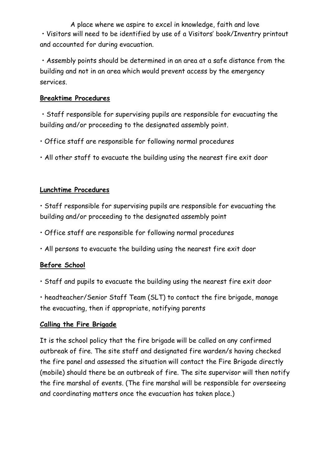A place where we aspire to excel in knowledge, faith and love • Visitors will need to be identified by use of a Visitors' book/Inventry printout and accounted for during evacuation.

• Assembly points should be determined in an area at a safe distance from the building and not in an area which would prevent access by the emergency services.

#### **Breaktime Procedures**

• Staff responsible for supervising pupils are responsible for evacuating the building and/or proceeding to the designated assembly point.

- Office staff are responsible for following normal procedures
- All other staff to evacuate the building using the nearest fire exit door

#### **Lunchtime Procedures**

• Staff responsible for supervising pupils are responsible for evacuating the building and/or proceeding to the designated assembly point

- Office staff are responsible for following normal procedures
- All persons to evacuate the building using the nearest fire exit door

#### **Before School**

• Staff and pupils to evacuate the building using the nearest fire exit door

• headteacher/Senior Staff Team (SLT) to contact the fire brigade, manage the evacuating, then if appropriate, notifying parents

#### **Calling the Fire Brigade**

It is the school policy that the fire brigade will be called on any confirmed outbreak of fire. The site staff and designated fire warden/s having checked the fire panel and assessed the situation will contact the Fire Brigade directly (mobile) should there be an outbreak of fire. The site supervisor will then notify the fire marshal of events. (The fire marshal will be responsible for overseeing and coordinating matters once the evacuation has taken place.)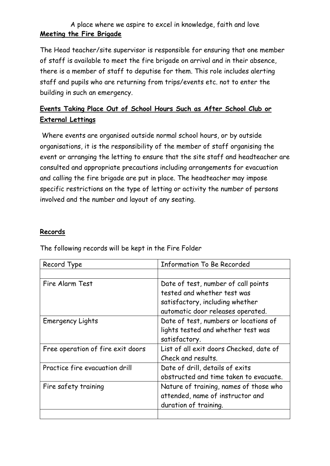#### A place where we aspire to excel in knowledge, faith and love **Meeting the Fire Brigade**

The Head teacher/site supervisor is responsible for ensuring that one member of staff is available to meet the fire brigade on arrival and in their absence, there is a member of staff to deputise for them. This role includes alerting staff and pupils who are returning from trips/events etc. not to enter the building in such an emergency.

#### **Events Taking Place Out of School Hours Such as After School Club or External Lettings**

Where events are organised outside normal school hours, or by outside organisations, it is the responsibility of the member of staff organising the event or arranging the letting to ensure that the site staff and headteacher are consulted and appropriate precautions including arrangements for evacuation and calling the fire brigade are put in place. The headteacher may impose specific restrictions on the type of letting or activity the number of persons involved and the number and layout of any seating.

#### **Records**

| Record Type                       | <b>Information To Be Recorded</b>       |  |
|-----------------------------------|-----------------------------------------|--|
|                                   |                                         |  |
| Fire Alarm Test                   | Date of test, number of call points     |  |
|                                   | tested and whether test was             |  |
|                                   | satisfactory, including whether         |  |
|                                   | automatic door releases operated.       |  |
| <b>Emergency Lights</b>           | Date of test, numbers or locations of   |  |
|                                   | lights tested and whether test was      |  |
|                                   | satisfactory.                           |  |
| Free operation of fire exit doors | List of all exit doors Checked, date of |  |
|                                   | Check and results.                      |  |
| Practice fire evacuation drill    | Date of drill, details of exits         |  |
|                                   | obstructed and time taken to evacuate.  |  |
| Fire safety training              | Nature of training, names of those who  |  |
|                                   | attended, name of instructor and        |  |
|                                   | duration of training.                   |  |
|                                   |                                         |  |

The following records will be kept in the Fire Folder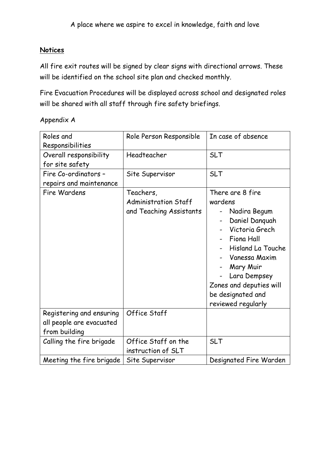#### **Notices**

All fire exit routes will be signed by clear signs with directional arrows. These will be identified on the school site plan and checked monthly.

Fire Evacuation Procedures will be displayed across school and designated roles will be shared with all staff through fire safety briefings.

Appendix A

| Roles and<br>Responsibilities                                         | Role Person Responsible                                             | In case of absence                                                                                                                                                                                                                            |
|-----------------------------------------------------------------------|---------------------------------------------------------------------|-----------------------------------------------------------------------------------------------------------------------------------------------------------------------------------------------------------------------------------------------|
| Overall responsibility<br>for site safety                             | Headteacher                                                         | <b>SLT</b>                                                                                                                                                                                                                                    |
| Fire Co-ordinators -<br>repairs and maintenance                       | Site Supervisor                                                     | <b>SLT</b>                                                                                                                                                                                                                                    |
| Fire Wardens                                                          | Teachers,<br><b>Administration Staff</b><br>and Teaching Assistants | There are 8 fire<br>wardens<br>Nadira Begum<br>Daniel Danguah<br>Victoria Grech<br>Fiona Hall<br><b>Hisland La Touche</b><br>Vanessa Maxim<br>Mary Muir<br>Lara Dempsey<br>Zones and deputies will<br>be designated and<br>reviewed regularly |
| Registering and ensuring<br>all people are evacuated<br>from building | Office Staff                                                        |                                                                                                                                                                                                                                               |
| Calling the fire brigade                                              | Office Staff on the<br>instruction of SLT                           | <b>SLT</b>                                                                                                                                                                                                                                    |
| Meeting the fire brigade                                              | Site Supervisor                                                     | Designated Fire Warden                                                                                                                                                                                                                        |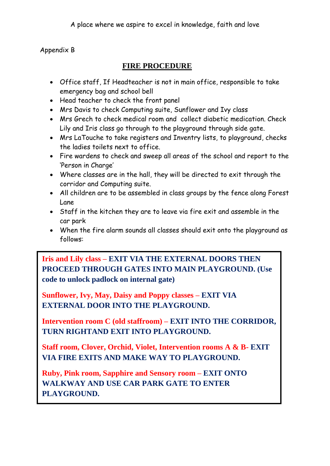#### Appendix B

#### **FIRE PROCEDURE**

- Office staff, If Headteacher is not in main office, responsible to take emergency bag and school bell
- Head teacher to check the front panel
- Mrs Davis to check Computing suite, Sunflower and Ivy class
- Mrs Grech to check medical room and collect diabetic medication. Check Lily and Iris class go through to the playground through side gate.
- Mrs LaTouche to take registers and Inventry lists, to playground, checks the ladies toilets next to office.
- Fire wardens to check and sweep all areas of the school and report to the 'Person in Charge'
- Where classes are in the hall, they will be directed to exit through the corridor and Computing suite.
- All children are to be assembled in class groups by the fence along Forest Lane
- Staff in the kitchen they are to leave via fire exit and assemble in the car park
- When the fire alarm sounds all classes should exit onto the playground as follows:

**PROCEED THROUGH GATES INTO MAIN PLAYGROUND. (Use register Fire Warden is the unlock padlock on internal gate) Iris and Lily class – EXIT VIA THE EXTERNAL DOORS THEN** 

**Sunflower, Ivy, May, Daisy and Poppy classes – EXIT VIA EXTERNAL DOOR INTO THE PLAYGROUND.**

**Intervention room C (old staffroom) – EXIT INTO THE CORRIDOR, TURN RIGHTAND EXIT INTO PLAYGROUND.**

**Staff room, Clover, Orchid, Violet, Intervention rooms A & B- EXIT VIA FIRE EXITS AND MAKE WAY TO PLAYGROUND.**

PLAYGROUND. **Ruby, Pink room, Sapphire and Sensory room – EXIT ONTO WALKWAY AND USE CAR PARK GATE TO ENTER**